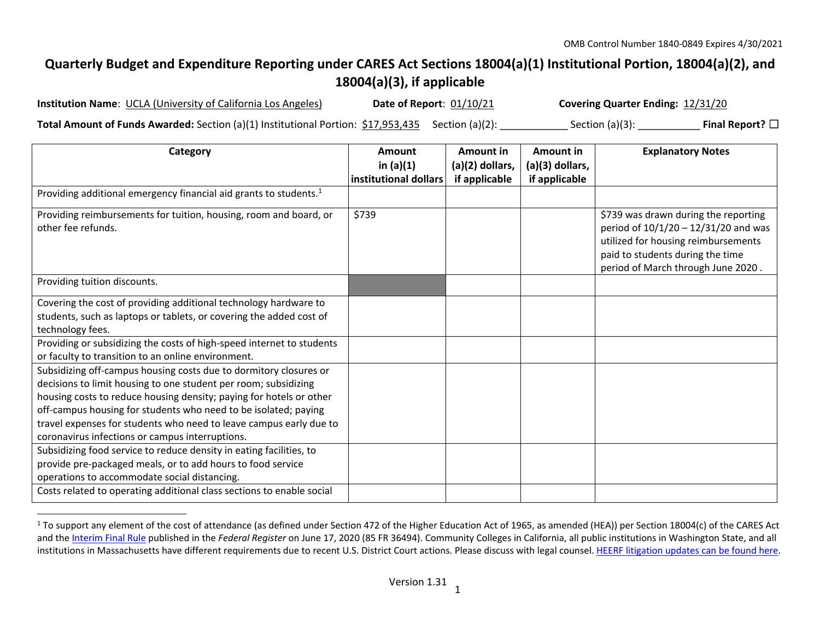## **Quarterly Budget and Expenditure Reporting under CARES Act Sections 18004(a)(1) Institutional Portion, 18004(a)(2), and 18004(a)(3), if applicable**

| <b>Institution Name: UCLA (University of California Los Angeles)</b>                                                 | Date of Report: 01/10/21 | Covering Quarter Ending: 12/31/20 |                         |
|----------------------------------------------------------------------------------------------------------------------|--------------------------|-----------------------------------|-------------------------|
| <b>Total Amount of Funds Awarded:</b> Section (a)(1) Institutional Portion: $\frac{617,953,435}{25}$ Section (a)(2): |                          | Section $(a)(3)$ :                | Final Report? $\square$ |

| Category                                                                                                                                                                                                                                                                                                                                                                                                | Amount<br>in $(a)(1)$<br>institutional dollars | Amount in<br>(a)(2) dollars,<br>if applicable | Amount in<br>(a)(3) dollars,<br>if applicable | <b>Explanatory Notes</b>                                                                                                                                                                        |
|---------------------------------------------------------------------------------------------------------------------------------------------------------------------------------------------------------------------------------------------------------------------------------------------------------------------------------------------------------------------------------------------------------|------------------------------------------------|-----------------------------------------------|-----------------------------------------------|-------------------------------------------------------------------------------------------------------------------------------------------------------------------------------------------------|
| Providing additional emergency financial aid grants to students. <sup>1</sup>                                                                                                                                                                                                                                                                                                                           |                                                |                                               |                                               |                                                                                                                                                                                                 |
| Providing reimbursements for tuition, housing, room and board, or<br>other fee refunds.                                                                                                                                                                                                                                                                                                                 | \$739                                          |                                               |                                               | \$739 was drawn during the reporting<br>period of $10/1/20 - 12/31/20$ and was<br>utilized for housing reimbursements<br>paid to students during the time<br>period of March through June 2020. |
| Providing tuition discounts.                                                                                                                                                                                                                                                                                                                                                                            |                                                |                                               |                                               |                                                                                                                                                                                                 |
| Covering the cost of providing additional technology hardware to<br>students, such as laptops or tablets, or covering the added cost of<br>technology fees.                                                                                                                                                                                                                                             |                                                |                                               |                                               |                                                                                                                                                                                                 |
| Providing or subsidizing the costs of high-speed internet to students<br>or faculty to transition to an online environment.                                                                                                                                                                                                                                                                             |                                                |                                               |                                               |                                                                                                                                                                                                 |
| Subsidizing off-campus housing costs due to dormitory closures or<br>decisions to limit housing to one student per room; subsidizing<br>housing costs to reduce housing density; paying for hotels or other<br>off-campus housing for students who need to be isolated; paying<br>travel expenses for students who need to leave campus early due to<br>coronavirus infections or campus interruptions. |                                                |                                               |                                               |                                                                                                                                                                                                 |
| Subsidizing food service to reduce density in eating facilities, to<br>provide pre-packaged meals, or to add hours to food service<br>operations to accommodate social distancing.                                                                                                                                                                                                                      |                                                |                                               |                                               |                                                                                                                                                                                                 |
| Costs related to operating additional class sections to enable social                                                                                                                                                                                                                                                                                                                                   |                                                |                                               |                                               |                                                                                                                                                                                                 |

<sup>&</sup>lt;sup>1</sup> To support any element of the cost of attendance (as defined under Section 472 of the Higher Education Act of 1965, as amended (HEA)) per Section 18004(c) of the CARES Act and the Interim Final Rule published in the *Federal Register* on June 17, 2020 (85 FR 36494). Community Colleges in California, all public institutions in Washington State, and all institutions in Massachusetts have different requirements due to recent U.S. District Court actions. Please discuss with legal counsel. HEERF litigation updates can be found here.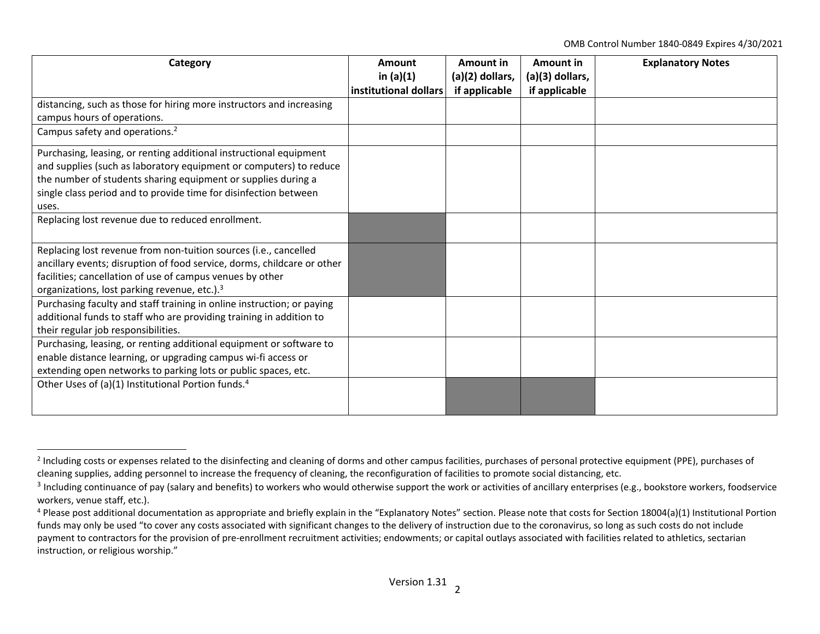OMB Control Number 1840‐0849 Expires 4/30/2021

| Category                                                                | Amount                | Amount in       | Amount in       | <b>Explanatory Notes</b> |
|-------------------------------------------------------------------------|-----------------------|-----------------|-----------------|--------------------------|
|                                                                         | in $(a)(1)$           | (a)(2) dollars, | (a)(3) dollars, |                          |
|                                                                         | institutional dollars | if applicable   | if applicable   |                          |
| distancing, such as those for hiring more instructors and increasing    |                       |                 |                 |                          |
| campus hours of operations.                                             |                       |                 |                 |                          |
| Campus safety and operations. <sup>2</sup>                              |                       |                 |                 |                          |
| Purchasing, leasing, or renting additional instructional equipment      |                       |                 |                 |                          |
| and supplies (such as laboratory equipment or computers) to reduce      |                       |                 |                 |                          |
| the number of students sharing equipment or supplies during a           |                       |                 |                 |                          |
| single class period and to provide time for disinfection between        |                       |                 |                 |                          |
| uses.                                                                   |                       |                 |                 |                          |
| Replacing lost revenue due to reduced enrollment.                       |                       |                 |                 |                          |
|                                                                         |                       |                 |                 |                          |
| Replacing lost revenue from non-tuition sources (i.e., cancelled        |                       |                 |                 |                          |
| ancillary events; disruption of food service, dorms, childcare or other |                       |                 |                 |                          |
| facilities; cancellation of use of campus venues by other               |                       |                 |                 |                          |
| organizations, lost parking revenue, etc.). <sup>3</sup>                |                       |                 |                 |                          |
| Purchasing faculty and staff training in online instruction; or paying  |                       |                 |                 |                          |
| additional funds to staff who are providing training in addition to     |                       |                 |                 |                          |
| their regular job responsibilities.                                     |                       |                 |                 |                          |
| Purchasing, leasing, or renting additional equipment or software to     |                       |                 |                 |                          |
| enable distance learning, or upgrading campus wi-fi access or           |                       |                 |                 |                          |
| extending open networks to parking lots or public spaces, etc.          |                       |                 |                 |                          |
| Other Uses of (a)(1) Institutional Portion funds. <sup>4</sup>          |                       |                 |                 |                          |
|                                                                         |                       |                 |                 |                          |
|                                                                         |                       |                 |                 |                          |

<sup>&</sup>lt;sup>2</sup> Including costs or expenses related to the disinfecting and cleaning of dorms and other campus facilities, purchases of personal protective equipment (PPE), purchases of cleaning supplies, adding personnel to increase the frequency of cleaning, the reconfiguration of facilities to promote social distancing, etc.

<sup>&</sup>lt;sup>3</sup> Including continuance of pay (salary and benefits) to workers who would otherwise support the work or activities of ancillary enterprises (e.g., bookstore workers, foodservice workers, venue staff, etc.).

<sup>&</sup>lt;sup>4</sup> Please post additional documentation as appropriate and briefly explain in the "Explanatory Notes" section. Please note that costs for Section 18004(a)(1) Institutional Portion funds may only be used "to cover any costs associated with significant changes to the delivery of instruction due to the coronavirus, so long as such costs do not include payment to contractors for the provision of pre-enrollment recruitment activities; endowments; or capital outlays associated with facilities related to athletics, sectarian instruction, or religious worship."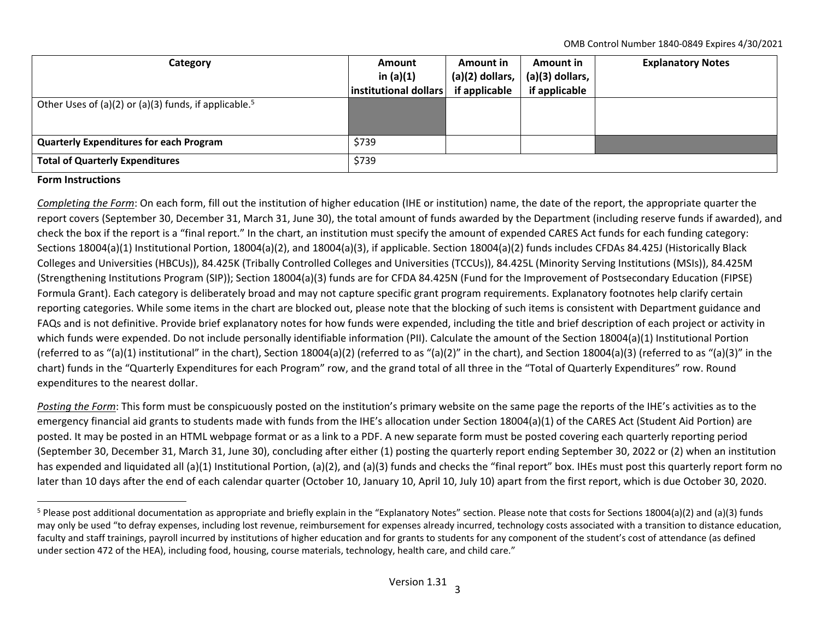OMB Control Number 1840‐0849 Expires 4/30/2021

| Category                                                          | <b>Amount</b><br>in $(a)(1)$<br> institutional dollars | Amount in<br>$(a)(2)$ dollars,<br>if applicable | Amount in<br>(a)(3) dollars,<br>if applicable | <b>Explanatory Notes</b> |
|-------------------------------------------------------------------|--------------------------------------------------------|-------------------------------------------------|-----------------------------------------------|--------------------------|
| Other Uses of (a)(2) or (a)(3) funds, if applicable. <sup>5</sup> |                                                        |                                                 |                                               |                          |
| <b>Quarterly Expenditures for each Program</b>                    | \$739                                                  |                                                 |                                               |                          |
| <b>Total of Quarterly Expenditures</b>                            | \$739                                                  |                                                 |                                               |                          |

## **Form Instructions**

*Completing the Form*: On each form, fill out the institution of higher education (IHE or institution) name, the date of the report, the appropriate quarter the report covers (September 30, December 31, March 31, June 30), the total amount of funds awarded by the Department (including reserve funds if awarded), and check the box if the report is <sup>a</sup> "final report." In the chart, an institution must specify the amount of expended CARES Act funds for each funding category: Sections 18004(a)(1) Institutional Portion, 18004(a)(2), and 18004(a)(3), if applicable. Section 18004(a)(2) funds includes CFDAs 84.425J (Historically Black Colleges and Universities (HBCUs)), 84.425K (Tribally Controlled Colleges and Universities (TCCUs)), 84.425L (Minority Serving Institutions (MSIs)), 84.425M (Strengthening Institutions Program (SIP)); Section 18004(a)(3) funds are for CFDA 84.425N (Fund for the Improvement of Postsecondary Education (FIPSE) Formula Grant). Each category is deliberately broad and may not capture specific grant program requirements. Explanatory footnotes help clarify certain reporting categories. While some items in the chart are blocked out, please note that the blocking of such items is consistent with Department guidance and FAQs and is not definitive. Provide brief explanatory notes for how funds were expended, including the title and brief description of each project or activity in which funds were expended. Do not include personally identifiable information (PII). Calculate the amount of the Section 18004(a)(1) Institutional Portion (referred to as "(a)(1) institutional" in the chart), Section 18004(a)(2) (referred to as "(a)(2)" in the chart), and Section 18004(a)(3) (referred to as "(a)(3)" in the chart) funds in the "Quarterly Expenditures for each Program" row, and the grand total of all three in the "Total of Quarterly Expenditures" row. Round expenditures to the nearest dollar.

*Posting the Form*: This form must be conspicuously posted on the institution's primary website on the same page the reports of the IHE's activities as to the emergency financial aid grants to students made with funds from the IHE's allocation under Section 18004(a)(1) of the CARES Act (Student Aid Portion) are posted. It may be posted in an HTML webpage format or as <sup>a</sup> link to <sup>a</sup> PDF. A new separate form must be posted covering each quarterly reporting period (September 30, December 31, March 31, June 30), concluding after either (1) posting the quarterly report ending September 30, 2022 or (2) when an institution has expended and liquidated all (a)(1) Institutional Portion, (a)(2), and (a)(3) funds and checks the "final report" box. IHEs must post this quarterly report form no later than 10 days after the end of each calendar quarter (October 10, January 10, April 10, July 10) apart from the first report, which is due October 30, 2020.

<sup>&</sup>lt;sup>5</sup> Please post additional documentation as appropriate and briefly explain in the "Explanatory Notes" section. Please note that costs for Sections 18004(a)(2) and (a)(3) funds may only be used "to defray expenses, including lost revenue, reimbursement for expenses already incurred, technology costs associated with <sup>a</sup> transition to distance education, faculty and staff trainings, payroll incurred by institutions of higher education and for grants to students for any component of the student's cost of attendance (as defined under section 472 of the HEA), including food, housing, course materials, technology, health care, and child care."